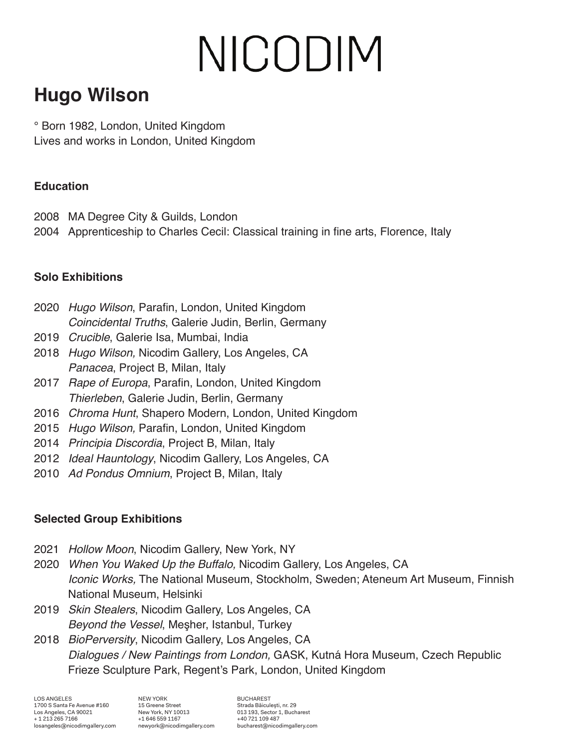# NICODIM

### **Hugo Wilson**

° Born 1982, London, United Kingdom Lives and works in London, United Kingdom

#### **Education**

2008 MA Degree City & Guilds, London

2004 Apprenticeship to Charles Cecil: Classical training in fine arts, Florence, Italy

#### **Solo Exhibitions**

- 2020 *Hugo Wilson*, Parafin, London, United Kingdom *Coincidental Truths*, Galerie Judin, Berlin, Germany
- 2019 *Crucible*, Galerie Isa, Mumbai, India
- 2018 *Hugo Wilson,* Nicodim Gallery, Los Angeles, CA *Panacea*, Project B, Milan, Italy
- 2017 *Rape of Europa*, Parafin, London, United Kingdom *Thierleben*, Galerie Judin, Berlin, Germany
- 2016 *Chroma Hunt*, Shapero Modern, London, United Kingdom
- 2015 *Hugo Wilson,* Parafin, London, United Kingdom
- 2014 *Principia Discordia*, Project B, Milan, Italy
- 2012 *Ideal Hauntology*, Nicodim Gallery, Los Angeles, CA
- 2010 *Ad Pondus Omnium*, Project B, Milan, Italy

#### **Selected Group Exhibitions**

- 2021 *Hollow Moon*, Nicodim Gallery, New York, NY
- 2020 *When You Waked Up the Buffalo,* Nicodim Gallery, Los Angeles, CA *Iconic Works,* The National Museum, Stockholm, Sweden; Ateneum Art Museum, Finnish National Museum, Helsinki
- 2019 *Skin Stealers*, Nicodim Gallery, Los Angeles, CA *Beyond the Vessel*, Meşher, Istanbul, Turkey
- 2018 *BioPerversity*, Nicodim Gallery, Los Angeles, CA *Dialogues / New Paintings from London,* GASK, Kutná Hora Museum, Czech Republic Frieze Sculpture Park, Regent's Park, London, United Kingdom

LOS ANGELES los angeles, california 90021 www.nicodimgallery.com LOS ANGELES 1700 S Santa Fe Avenue #160 Los Angeles, CA 90021 + 1 213 265 7166 losangeles@nicodimgallery.com

NEW YORK 15 Greene Street New York, NY 10013 +1 646 559 1167 newyork@nicodimgallery.com

**BUCHAREST** Strada Băiculeşti, nr. 29 013 193, Sector 1, Bucharest +40 721 109 487 bucharest@nicodimgallery.com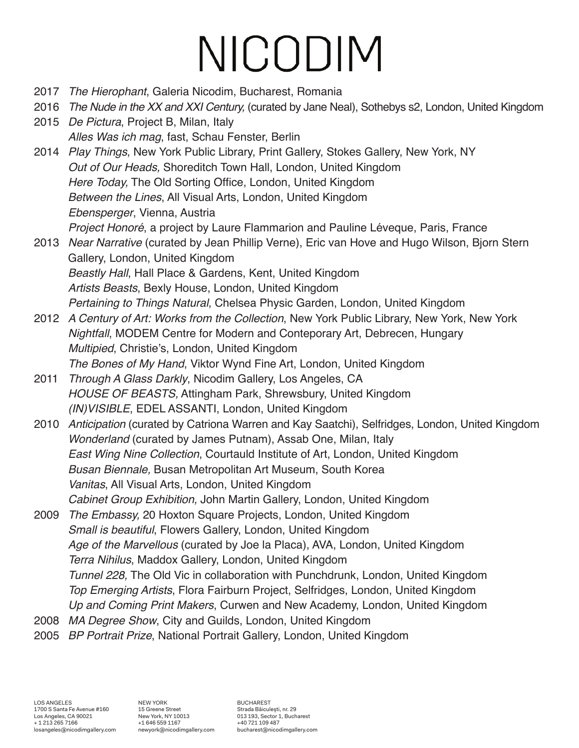## NICODIM

- 2017 *The Hierophant*, Galeria Nicodim, Bucharest, Romania
- 2016 *The Nude in the XX and XXI Century,* (curated by Jane Neal), Sothebys s2, London, United Kingdom
- 2015 *De Pictura*, Project B, Milan, Italy *Alles Was ich mag*, fast, Schau Fenster, Berlin
- 2014 *Play Things*, New York Public Library, Print Gallery, Stokes Gallery, New York, NY *Out of Our Heads,* Shoreditch Town Hall, London, United Kingdom *Here Today,* The Old Sorting Office, London, United Kingdom *Between the Lines*, All Visual Arts, London, United Kingdom *Ebensperger*, Vienna, Austria *Project Honoré*, a project by Laure Flammarion and Pauline Léveque, Paris, France
- 2013 *Near Narrative* (curated by Jean Phillip Verne), Eric van Hove and Hugo Wilson, Bjorn Stern Gallery, London, United Kingdom *Beastly Hall*, Hall Place & Gardens, Kent, United Kingdom *Artists Beasts*, Bexly House, London, United Kingdom *Pertaining to Things Natural*, Chelsea Physic Garden, London, United Kingdom
- 2012 *A Century of Art: Works from the Collection*, New York Public Library, New York, New York *Nightfall*, MODEM Centre for Modern and Conteporary Art, Debrecen, Hungary *Multipied*, Christie's, London, United Kingdom *The Bones of My Hand*, Viktor Wynd Fine Art, London, United Kingdom
- 2011 *Through A Glass Darkly*, Nicodim Gallery, Los Angeles, CA *HOUSE OF BEASTS,* Attingham Park, Shrewsbury, United Kingdom *(IN)VISIBLE*, EDEL ASSANTI, London, United Kingdom
- 2010 *Anticipation* (curated by Catriona Warren and Kay Saatchi), Selfridges, London, United Kingdom *Wonderland* (curated by James Putnam), Assab One, Milan, Italy *East Wing Nine Collection*, Courtauld Institute of Art, London, United Kingdom *Busan Biennale,* Busan Metropolitan Art Museum, South Korea *Vanitas*, All Visual Arts, London, United Kingdom *Cabinet Group Exhibition,* John Martin Gallery, London, United Kingdom
- 2009 *The Embassy,* 20 Hoxton Square Projects, London, United Kingdom *Small is beautiful*, Flowers Gallery, London, United Kingdom *Age of the Marvellous* (curated by Joe la Placa), AVA, London, United Kingdom *Terra Nihilus*, Maddox Gallery, London, United Kingdom *Tunnel 228,* The Old Vic in collaboration with Punchdrunk, London, United Kingdom *Top Emerging Artists*, Flora Fairburn Project, Selfridges, London, United Kingdom *Up and Coming Print Makers*, Curwen and New Academy, London, United Kingdom
- 2008 *MA Degree Show*, City and Guilds, London, United Kingdom
- 2005 *BP Portrait Prize*, National Portrait Gallery, London, United Kingdom

NEW YORK 15 Greene Street New York, NY 10013 +1 646 559 1167 newyork@nicodimgallery.com BUCHAREST Strada Băiculeşti, nr. 29 013 193, Sector 1, Bucharest +40 721 109 487 bucharest@nicodimgallery.com